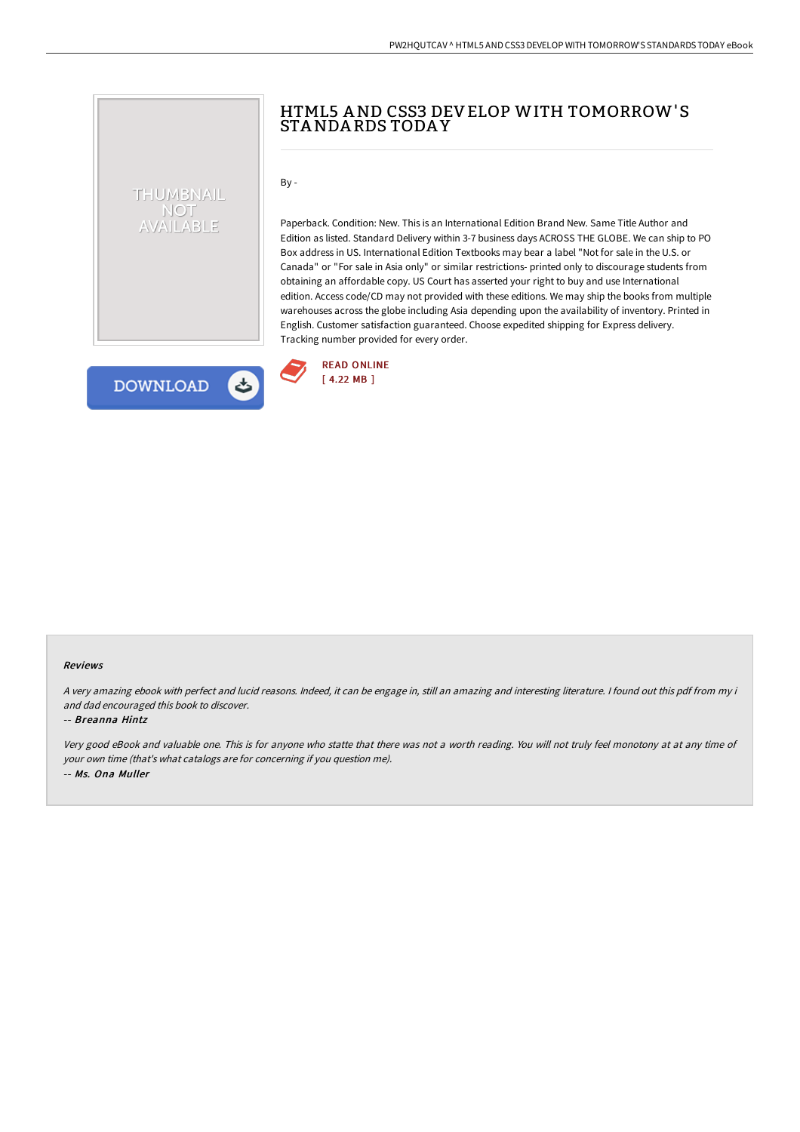## HTML5 AND CSS3 DEVELOP WITH TOMORROW'S STANDA RDS TODA Y

 $By -$ 

Paperback. Condition: New. This is an International Edition Brand New. Same Title Author and Edition as listed. Standard Delivery within 3-7 business days ACROSS THE GLOBE. We can ship to PO Box address in US. International Edition Textbooks may bear a label "Not for sale in the U.S. or Canada" or "For sale in Asia only" or similar restrictions- printed only to discourage students from obtaining an affordable copy. US Court has asserted your right to buy and use International edition. Access code/CD may not provided with these editions. We may ship the books from multiple warehouses across the globe including Asia depending upon the availability of inventory. Printed in English. Customer satisfaction guaranteed. Choose expedited shipping for Express delivery. Tracking number provided for every order.



# **DOWNLOAD**

THUMBNAIL NOT AVAILABLE

#### Reviews

<sup>A</sup> very amazing ebook with perfect and lucid reasons. Indeed, it can be engage in, still an amazing and interesting literature. <sup>I</sup> found out this pdf from my i and dad encouraged this book to discover.

### -- Breanna Hintz

Very good eBook and valuable one. This is for anyone who statte that there was not <sup>a</sup> worth reading. You will not truly feel monotony at at any time of your own time (that's what catalogs are for concerning if you question me). -- Ms. Ona Muller